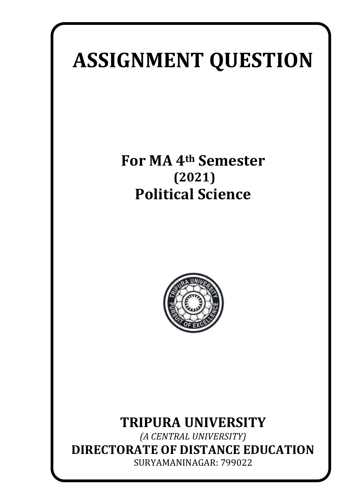# **ASSIGNMENT QUESTION**

**For MA 4th Semester (2021) Political Science**



## **TRIPURA UNIVERSITY**

*(A CENTRAL UNIVERSITY)* **DIRECTORATE OF DISTANCE EDUCATION** SURYAMANINAGAR: 799022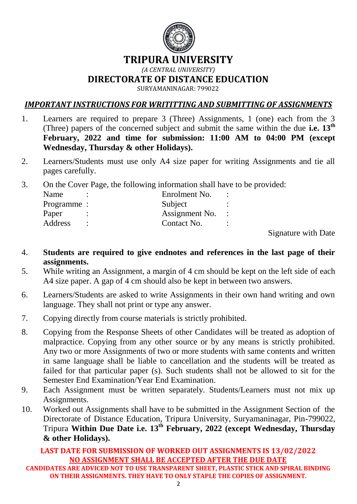

#### **TRIPURA UNIVERSITY**

#### *(A CENTRAL UNIVERSITY)*

**DIRECTORATE OF DISTANCE EDUCATION**

SURYAMANINAGAR: 799022

#### *IMPORTANT INSTRUCTIONS FOR WRITITTING AND SUBMITTING OF ASSIGNMENTS*

- 1. Learners are required to prepare 3 (Three) Assignments, 1 (one) each from the 3 (Three) papers of the concerned subject and submit the same within the due **i.e. 13th February, 2022 and time for submission: 11:00 AM to 04:00 PM (except Wednesday, Thursday & other Holidays).**
- 2. Learners/Students must use only A4 size paper for writing Assignments and tie all pages carefully.
- 3. On the Cover Page, the following information shall have to be provided:

| Name       |  | Enrolment No.  | $\bullet$ |
|------------|--|----------------|-----------|
| Programme: |  | Subject        |           |
| Paper      |  | Assignment No. |           |
| Address    |  | Contact No.    |           |
|            |  |                |           |

Signature with Date

- 4. **Students are required to give endnotes and references in the last page of their assignments.**
- 5. While writing an Assignment, a margin of 4 cm should be kept on the left side of each A4 size paper. A gap of 4 cm should also be kept in between two answers.
- 6. Learners/Students are asked to write Assignments in their own hand writing and own language. They shall not print or type any answer.
- 7. Copying directly from course materials is strictly prohibited.
- 8. Copying from the Response Sheets of other Candidates will be treated as adoption of malpractice. Copying from any other source or by any means is strictly prohibited. Any two or more Assignments of two or more students with same contents and written in same language shall be liable to cancellation and the students will be treated as failed for that particular paper (s). Such students shall not be allowed to sit for the Semester End Examination/Year End Examination.
- 9. Each Assignment must be written separately. Students/Learners must not mix up Assignments.
- 10. Worked out Assignments shall have to be submitted in the Assignment Section of the Directorate of Distance Education, Tripura University, Suryamaninagar, Pin-799022, Tripura **Within Due Date i.e. 13th February, 2022 (except Wednesday, Thursday & other Holidays).**

#### **LAST DATE FOR SUBMISSION OF WORKED OUT ASSIGNMENTS IS 13/02/2022 NO ASSIGNMENT SHALL BE ACCEPTED AFTER THE DUE DATE**

**CANDIDATES ARE ADVICED NOT TO USE TRANSPARENT SHEET, PLASTIC STICK AND SPIRAL BINDING ON THEIR ASSIGNMENTS. THEY HAVE TO ONLY STAPLE THE COPIES OF ASSIGNMENT.**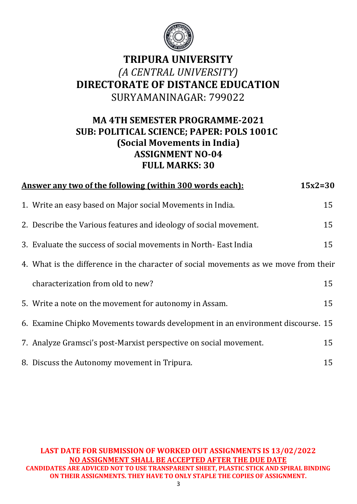

## **TRIPURA UNIVERSITY**  *(A CENTRAL UNIVERSITY)*  **DIRECTORATE OF DISTANCE EDUCATION** SURYAMANINAGAR: 799022

### **MA 4TH SEMESTER PROGRAMME-2021 SUB: POLITICAL SCIENCE; PAPER: POLS 1001C (Social Movements in India) ASSIGNMENT NO-04 FULL MARKS: 30**

| <u>Answer any two of the following (within 300 words each):</u>                      | $15x2=30$ |
|--------------------------------------------------------------------------------------|-----------|
| 1. Write an easy based on Major social Movements in India.                           | 15        |
| 2. Describe the Various features and ideology of social movement.                    | 15        |
| 3. Evaluate the success of social movements in North-East India                      | 15        |
| 4. What is the difference in the character of social movements as we move from their |           |
| characterization from old to new?                                                    | 15        |
| 5. Write a note on the movement for autonomy in Assam.                               | 15        |
| 6. Examine Chipko Movements towards development in an environment discourse. 15      |           |
| 7. Analyze Gramsci's post-Marxist perspective on social movement.                    | 15        |
| 8. Discuss the Autonomy movement in Tripura.                                         | 15        |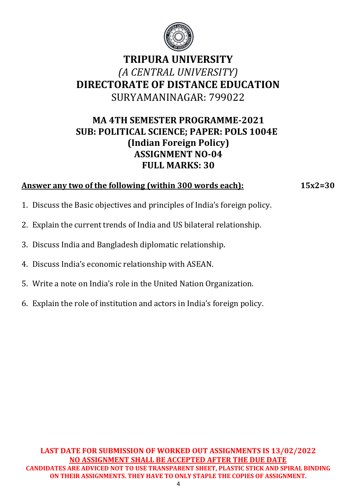

## **TRIPURA UNIVERSITY**  *(A CENTRAL UNIVERSITY)*  **DIRECTORATE OF DISTANCE EDUCATION** SURYAMANINAGAR: 799022

#### **MA 4TH SEMESTER PROGRAMME-2021 SUB: POLITICAL SCIENCE; PAPER: POLS 1004E (Indian Foreign Policy) ASSIGNMENT NO-04 FULL MARKS: 30**

#### **Answer any two of the following (within 300 words each): 15x2=30**

- 1. Discuss the Basic objectives and principles of India's foreign policy.
- 2. Explain the current trends of India and US bilateral relationship.
- 3. Discuss India and Bangladesh diplomatic relationship.
- 4. Discuss India's economic relationship with ASEAN.
- 5. Write a note on India's role in the United Nation Organization.
- 6. Explain the role of institution and actors in India's foreign policy.